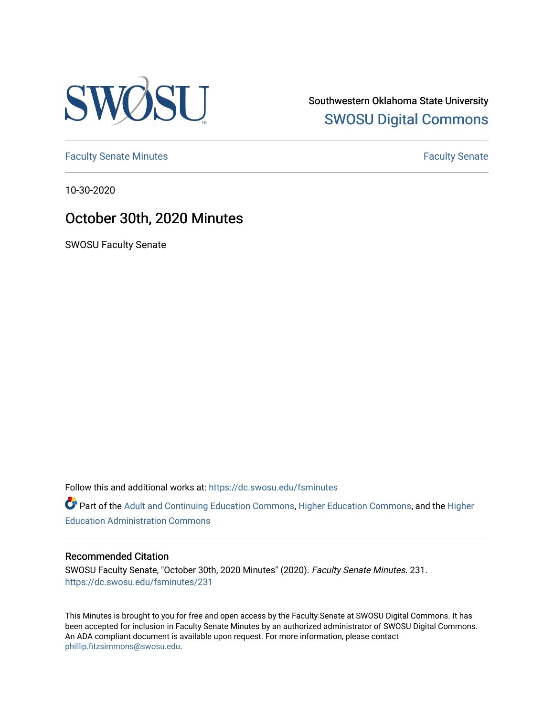

Southwestern Oklahoma State University [SWOSU Digital Commons](https://dc.swosu.edu/) 

[Faculty Senate Minutes](https://dc.swosu.edu/fsminutes) **Faculty** Senate Minutes

10-30-2020

## October 30th, 2020 Minutes

SWOSU Faculty Senate

Follow this and additional works at: [https://dc.swosu.edu/fsminutes](https://dc.swosu.edu/fsminutes?utm_source=dc.swosu.edu%2Ffsminutes%2F231&utm_medium=PDF&utm_campaign=PDFCoverPages) 

Part of the [Adult and Continuing Education Commons,](http://network.bepress.com/hgg/discipline/1375?utm_source=dc.swosu.edu%2Ffsminutes%2F231&utm_medium=PDF&utm_campaign=PDFCoverPages) [Higher Education Commons,](http://network.bepress.com/hgg/discipline/1245?utm_source=dc.swosu.edu%2Ffsminutes%2F231&utm_medium=PDF&utm_campaign=PDFCoverPages) and the [Higher](http://network.bepress.com/hgg/discipline/791?utm_source=dc.swosu.edu%2Ffsminutes%2F231&utm_medium=PDF&utm_campaign=PDFCoverPages) [Education Administration Commons](http://network.bepress.com/hgg/discipline/791?utm_source=dc.swosu.edu%2Ffsminutes%2F231&utm_medium=PDF&utm_campaign=PDFCoverPages) 

#### Recommended Citation

SWOSU Faculty Senate, "October 30th, 2020 Minutes" (2020). Faculty Senate Minutes. 231. [https://dc.swosu.edu/fsminutes/231](https://dc.swosu.edu/fsminutes/231?utm_source=dc.swosu.edu%2Ffsminutes%2F231&utm_medium=PDF&utm_campaign=PDFCoverPages) 

This Minutes is brought to you for free and open access by the Faculty Senate at SWOSU Digital Commons. It has been accepted for inclusion in Faculty Senate Minutes by an authorized administrator of SWOSU Digital Commons. An ADA compliant document is available upon request. For more information, please contact [phillip.fitzsimmons@swosu.edu](mailto:phillip.fitzsimmons@swosu.edu).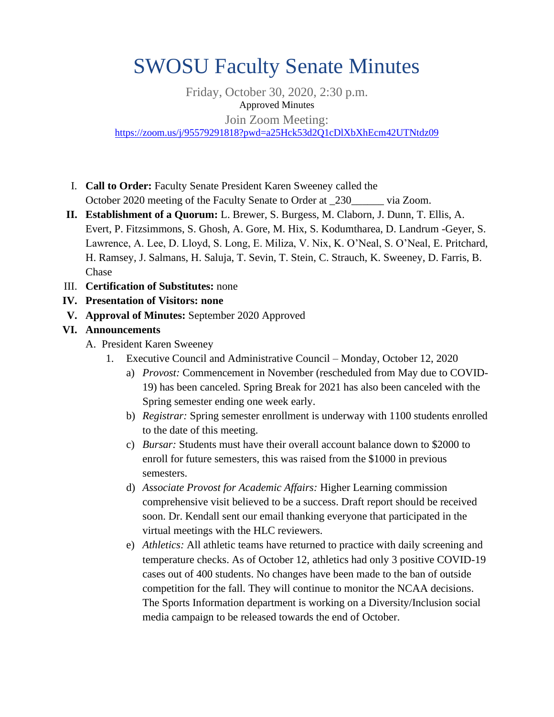# SWOSU Faculty Senate Minutes

Friday, October 30, 2020, 2:30 p.m. Approved Minutes Join Zoom Meeting: <https://zoom.us/j/95579291818?pwd=a25Hck53d2Q1cDlXbXhEcm42UTNtdz09>

- I. **Call to Order:** Faculty Senate President Karen Sweeney called the October 2020 meeting of the Faculty Senate to Order at 230 via Zoom.
- **II. Establishment of a Quorum:** L. Brewer, S. Burgess, M. Claborn, J. Dunn, T. Ellis, A. Evert, P. Fitzsimmons, S. Ghosh, A. Gore, M. Hix, S. Kodumtharea, D. Landrum -Geyer, S. Lawrence, A. Lee, D. Lloyd, S. Long, E. Miliza, V. Nix, K. O'Neal, S. O'Neal, E. Pritchard, H. Ramsey, J. Salmans, H. Saluja, T. Sevin, T. Stein, C. Strauch, K. Sweeney, D. Farris, B. Chase
- III. **Certification of Substitutes:** none
- **IV. Presentation of Visitors: none**
- **V. Approval of Minutes:** September 2020 Approved

#### **VI. Announcements**

- A. President Karen Sweeney
	- 1. Executive Council and Administrative Council Monday, October 12, 2020
		- a) *Provost:* Commencement in November (rescheduled from May due to COVID-19) has been canceled. Spring Break for 2021 has also been canceled with the Spring semester ending one week early.
		- b) *Registrar:* Spring semester enrollment is underway with 1100 students enrolled to the date of this meeting.
		- c) *Bursar:* Students must have their overall account balance down to \$2000 to enroll for future semesters, this was raised from the \$1000 in previous semesters.
		- d) *Associate Provost for Academic Affairs:* Higher Learning commission comprehensive visit believed to be a success. Draft report should be received soon. Dr. Kendall sent our email thanking everyone that participated in the virtual meetings with the HLC reviewers.
		- e) *Athletics:* All athletic teams have returned to practice with daily screening and temperature checks. As of October 12, athletics had only 3 positive COVID-19 cases out of 400 students. No changes have been made to the ban of outside competition for the fall. They will continue to monitor the NCAA decisions. The Sports Information department is working on a Diversity/Inclusion social media campaign to be released towards the end of October.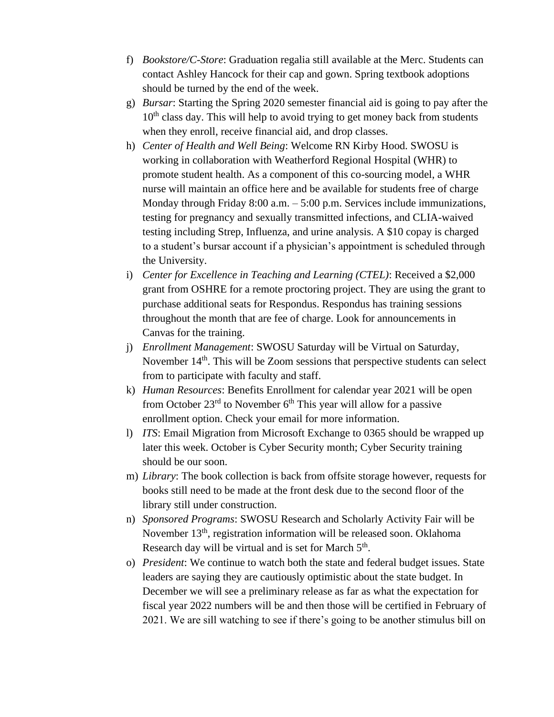- f) *Bookstore/C-Store*: Graduation regalia still available at the Merc. Students can contact Ashley Hancock for their cap and gown. Spring textbook adoptions should be turned by the end of the week.
- g) *Bursar*: Starting the Spring 2020 semester financial aid is going to pay after the  $10<sup>th</sup>$  class day. This will help to avoid trying to get money back from students when they enroll, receive financial aid, and drop classes.
- h) *Center of Health and Well Being*: Welcome RN Kirby Hood. SWOSU is working in collaboration with Weatherford Regional Hospital (WHR) to promote student health. As a component of this co-sourcing model, a WHR nurse will maintain an office here and be available for students free of charge Monday through Friday 8:00 a.m. – 5:00 p.m. Services include immunizations, testing for pregnancy and sexually transmitted infections, and CLIA-waived testing including Strep, Influenza, and urine analysis. A \$10 copay is charged to a student's bursar account if a physician's appointment is scheduled through the University.
- i) *Center for Excellence in Teaching and Learning (CTEL)*: Received a \$2,000 grant from OSHRE for a remote proctoring project. They are using the grant to purchase additional seats for Respondus. Respondus has training sessions throughout the month that are fee of charge. Look for announcements in Canvas for the training.
- j) *Enrollment Management*: SWOSU Saturday will be Virtual on Saturday, November  $14<sup>th</sup>$ . This will be Zoom sessions that perspective students can select from to participate with faculty and staff.
- k) *Human Resources*: Benefits Enrollment for calendar year 2021 will be open from October  $23<sup>rd</sup>$  to November 6<sup>th</sup> This year will allow for a passive enrollment option. Check your email for more information.
- l) *ITS*: Email Migration from Microsoft Exchange to 0365 should be wrapped up later this week. October is Cyber Security month; Cyber Security training should be our soon.
- m) *Library*: The book collection is back from offsite storage however, requests for books still need to be made at the front desk due to the second floor of the library still under construction.
- n) *Sponsored Programs*: SWOSU Research and Scholarly Activity Fair will be November 13<sup>th</sup>, registration information will be released soon. Oklahoma Research day will be virtual and is set for March 5<sup>th</sup>.
- o) *President*: We continue to watch both the state and federal budget issues. State leaders are saying they are cautiously optimistic about the state budget. In December we will see a preliminary release as far as what the expectation for fiscal year 2022 numbers will be and then those will be certified in February of 2021. We are sill watching to see if there's going to be another stimulus bill on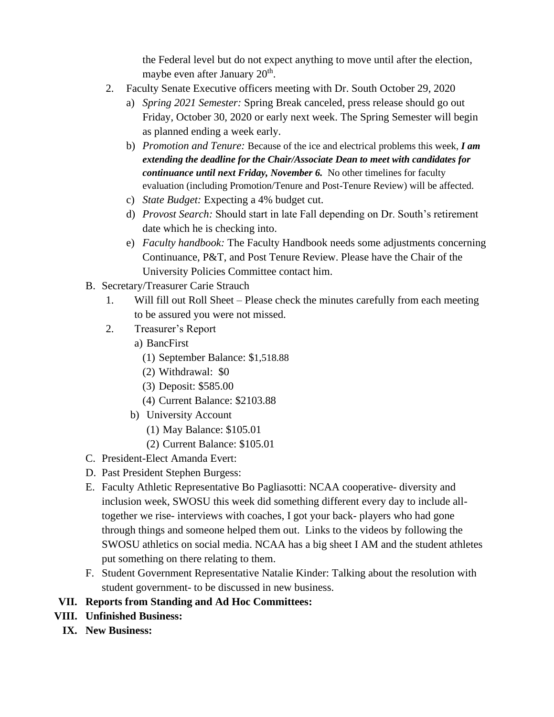the Federal level but do not expect anything to move until after the election, maybe even after January 20<sup>th</sup>.

- 2. Faculty Senate Executive officers meeting with Dr. South October 29, 2020
	- a) *Spring 2021 Semester:* Spring Break canceled, press release should go out Friday, October 30, 2020 or early next week. The Spring Semester will begin as planned ending a week early.
	- b) *Promotion and Tenure:* Because of the ice and electrical problems this week, *I am extending the deadline for the Chair/Associate Dean to meet with candidates for continuance until next Friday, November 6.* No other timelines for faculty evaluation (including Promotion/Tenure and Post-Tenure Review) will be affected.
	- c) *State Budget:* Expecting a 4% budget cut.
	- d) *Provost Search:* Should start in late Fall depending on Dr. South's retirement date which he is checking into.
	- e) *Faculty handbook:* The Faculty Handbook needs some adjustments concerning Continuance, P&T, and Post Tenure Review. Please have the Chair of the University Policies Committee contact him.
- B. Secretary/Treasurer Carie Strauch
	- 1. Will fill out Roll Sheet Please check the minutes carefully from each meeting to be assured you were not missed.
	- 2. Treasurer's Report
		- a) BancFirst
			- (1) September Balance: \$1,518.88
			- (2) Withdrawal: \$0
			- (3) Deposit: \$585.00
			- (4) Current Balance: \$2103.88
		- b) University Account
			- (1) May Balance: \$105.01
			- (2) Current Balance: \$105.01
- C. President-Elect Amanda Evert:
- D. Past President Stephen Burgess:
- E. Faculty Athletic Representative Bo Pagliasotti: NCAA cooperative- diversity and inclusion week, SWOSU this week did something different every day to include alltogether we rise- interviews with coaches, I got your back- players who had gone through things and someone helped them out. Links to the videos by following the SWOSU athletics on social media. NCAA has a big sheet I AM and the student athletes put something on there relating to them.
- F. Student Government Representative Natalie Kinder: Talking about the resolution with student government- to be discussed in new business.

#### **VII. Reports from Standing and Ad Hoc Committees:**

- **VIII. Unfinished Business:**
	- **IX. New Business:**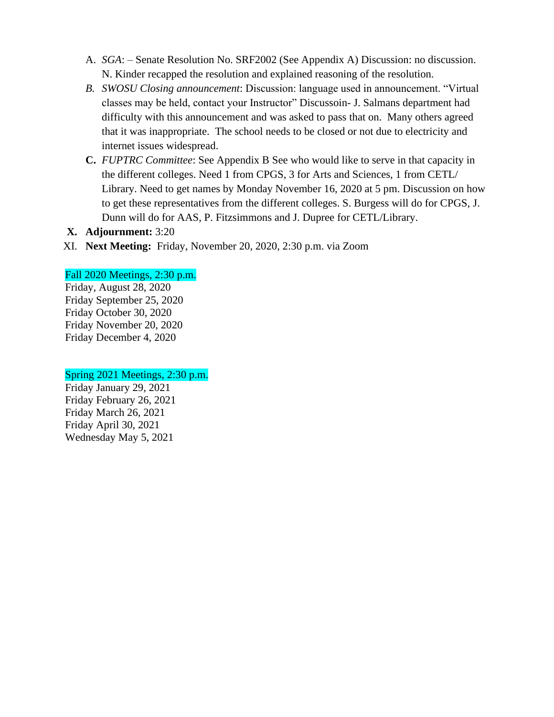- A. *SGA*: Senate Resolution No. SRF2002 (See Appendix A) Discussion: no discussion. N. Kinder recapped the resolution and explained reasoning of the resolution.
- *B. SWOSU Closing announcement*: Discussion: language used in announcement. "Virtual classes may be held, contact your Instructor" Discussoin- J. Salmans department had difficulty with this announcement and was asked to pass that on. Many others agreed that it was inappropriate. The school needs to be closed or not due to electricity and internet issues widespread.
- **C.** *FUPTRC Committee*: See Appendix B See who would like to serve in that capacity in the different colleges. Need 1 from CPGS, 3 for Arts and Sciences, 1 from CETL/ Library. Need to get names by Monday November 16, 2020 at 5 pm. Discussion on how to get these representatives from the different colleges. S. Burgess will do for CPGS, J. Dunn will do for AAS, P. Fitzsimmons and J. Dupree for CETL/Library.

#### **X. Adjournment:** 3:20

XI. **Next Meeting:** Friday, November 20, 2020, 2:30 p.m. via Zoom

#### Fall 2020 Meetings, 2:30 p.m.

Friday, August 28, 2020 Friday September 25, 2020 Friday October 30, 2020 Friday November 20, 2020 Friday December 4, 2020

#### Spring 2021 Meetings, 2:30 p.m.

Friday January 29, 2021 Friday February 26, 2021 Friday March 26, 2021 Friday April 30, 2021 Wednesday May 5, 2021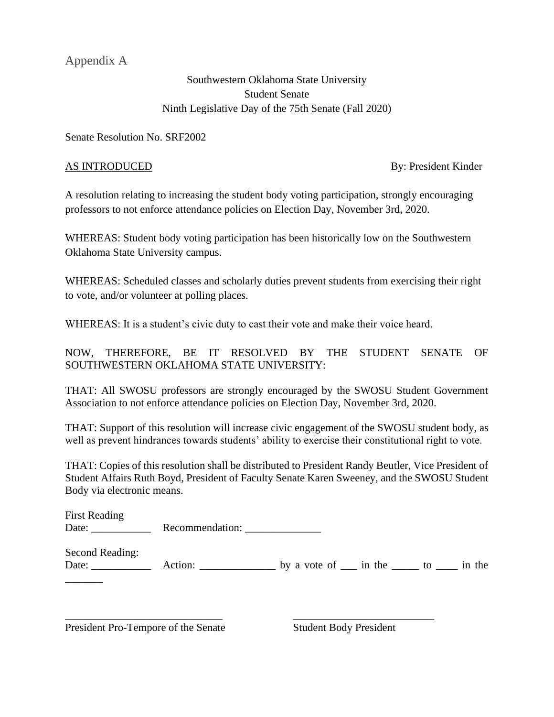Appendix A

### Southwestern Oklahoma State University Student Senate Ninth Legislative Day of the 75th Senate (Fall 2020)

Senate Resolution No. SRF2002

AS INTRODUCED By: President Kinder

A resolution relating to increasing the student body voting participation, strongly encouraging professors to not enforce attendance policies on Election Day, November 3rd, 2020.

WHEREAS: Student body voting participation has been historically low on the Southwestern Oklahoma State University campus.

WHEREAS: Scheduled classes and scholarly duties prevent students from exercising their right to vote, and/or volunteer at polling places.

WHEREAS: It is a student's civic duty to cast their vote and make their voice heard.

NOW, THEREFORE, BE IT RESOLVED BY THE STUDENT SENATE OF SOUTHWESTERN OKLAHOMA STATE UNIVERSITY:

THAT: All SWOSU professors are strongly encouraged by the SWOSU Student Government Association to not enforce attendance policies on Election Day, November 3rd, 2020.

THAT: Support of this resolution will increase civic engagement of the SWOSU student body, as well as prevent hindrances towards students' ability to exercise their constitutional right to vote.

THAT: Copies of this resolution shall be distributed to President Randy Beutler, Vice President of Student Affairs Ruth Boyd, President of Faculty Senate Karen Sweeney, and the SWOSU Student Body via electronic means.

| <b>First Reading</b> |                 |  |
|----------------------|-----------------|--|
| Date:                | Recommendation: |  |
|                      |                 |  |

Second Reading: Date: \_\_\_\_\_\_\_\_\_\_\_ Action: \_\_\_\_\_\_\_\_\_\_\_\_\_\_ by a vote of \_\_\_ in the \_\_\_\_\_ to \_\_\_\_ in the

\_\_\_\_\_\_\_\_\_\_\_\_\_\_\_\_\_\_\_\_\_\_\_\_\_\_\_\_\_ \_\_\_\_\_\_\_\_\_\_\_\_\_\_\_\_\_\_\_\_\_\_\_\_\_\_

President Pro-Tempore of the Senate Student Body President

\_\_\_\_\_\_\_